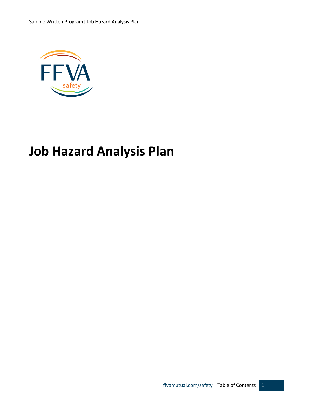

# **Job Hazard Analysis Plan**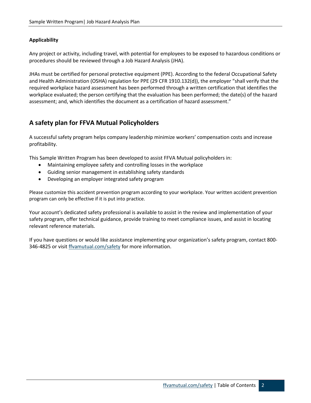### **Applicability**

Any project or activity, including travel, with potential for employees to be exposed to hazardous conditions or procedures should be reviewed through a Job Hazard Analysis (JHA).

JHAs must be certified for personal protective equipment (PPE). According to the federal Occupational Safety and Health Administration (OSHA) regulation for PPE (29 CFR 1910.132(d)), the employer "shall verify that the required workplace hazard assessment has been performed through a written certification that identifies the workplace evaluated; the person certifying that the evaluation has been performed; the date(s) of the hazard assessment; and, which identifies the document as a certification of hazard assessment."

# **A safety plan for FFVA Mutual Policyholders**

A successful safety program helps company leadership minimize workers' compensation costs and increase profitability.

This Sample Written Program has been developed to assist FFVA Mutual policyholders in:

- Maintaining employee safety and controlling losses in the workplace
- Guiding senior management in establishing safety standards
- Developing an employer integrated safety program

Please customize this accident prevention program according to your workplace. Your written accident prevention program can only be effective if it is put into practice.

Your account's dedicated safety professional is available to assist in the review and implementation of your safety program, offer technical guidance, provide training to meet compliance issues, and assist in locating relevant reference materials.

If you have questions or would like assistance implementing your organization's safety program, contact 800- 346-4825 or visit [ffvamutual.com/safety](http://www.ffvamutual.com/safety) for more information.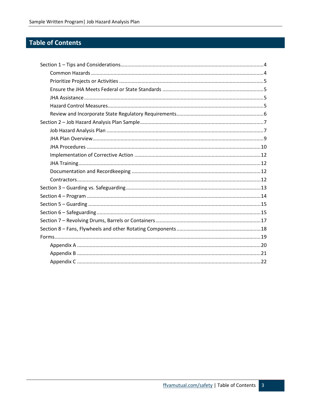# **Table of Contents**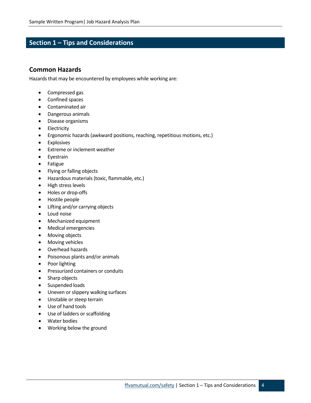# <span id="page-3-0"></span>**Section 1 – Tips and Considerations**

### <span id="page-3-1"></span>**Common Hazards**

Hazards that may be encountered by employees while working are:

- Compressed gas
- Confined spaces
- Contaminated air
- Dangerous animals
- Disease organisms
- Electricity
- Ergonomic hazards (awkward positions, reaching, repetitious motions, etc.)
- Explosives
- Extreme or inclement weather
- Eyestrain
- Fatigue
- Flying or falling objects
- Hazardous materials (toxic, flammable, etc.)
- High stress levels
- Holes or drop-offs
- Hostile people
- Lifting and/or carrying objects
- Loud noise
- Mechanized equipment
- Medical emergencies
- Moving objects
- Moving vehicles
- Overhead hazards
- Poisonous plants and/or animals
- Poor lighting
- Pressurized containers or conduits
- Sharp objects
- Suspended loads
- Uneven or slippery walking surfaces
- Unstable or steep terrain
- Use of hand tools
- Use of ladders or scaffolding
- Water bodies
- Working below the ground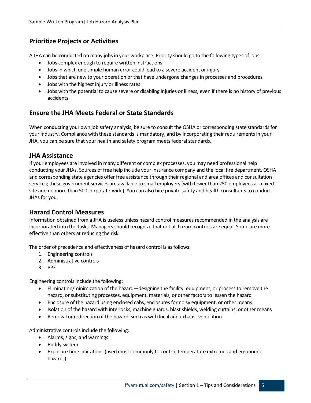# <span id="page-4-0"></span>**Prioritize Projects or Activities**

A JHA can be conducted on many jobs in your workplace. Priority should go to the following types of jobs:

- Jobs complex enough to require written instructions
- Jobs in which one simple human error could lead to a severe accident or injury
- Jobs that are new to your operation or that have undergone changes in processes and procedures
- Jobs with the highest injury or illness rates
- Jobs with the potential to cause severe or disabling injuries or illness, even if there is no history of previous accidents

# <span id="page-4-1"></span>**Ensure the JHA Meets Federal or State Standards**

When conducting your own job safety analysis, be sure to consult the OSHA or corresponding state standards for your industry. Compliance with these standards is mandatory, and by incorporating their requirements in your JHA, you can be sure that your health and safety program meets federal standards.

# <span id="page-4-2"></span>**JHA Assistance**

If your employees are involved in many different or complex processes, you may need professional help conducting your JHAs. Sources of free help include your insurance company and the local fire department. OSHA and corresponding state agencies offer free assistance through their regional and area offices and consultation services; these government services are available to small employers (with fewer than 250 employees at a fixed site and no more than 500 corporate-wide). You can also hire private safety and health consultants to conduct JHAs for you.

# <span id="page-4-3"></span>**Hazard Control Measures**

Information obtained from a JHA is useless unless hazard control measures recommended in the analysis are incorporated into the tasks. Managers should recognize that not all hazard controls are equal. Some are more effective than others at reducing the risk.

The order of precedence and effectiveness of hazard control is as follows:

- 1. Engineering controls
- 2. Administrative controls
- 3. PPE

Engineering controls include the following:

- Elimination/minimization of the hazard—designing the facility, equipment, or process to remove the hazard, or substituting processes, equipment, materials, or other factors to lessen the hazard
- Enclosure of the hazard using enclosed cabs, enclosures for noisy equipment, or other means
- Isolation of the hazard with interlocks, machine guards, blast shields, welding curtains, or other means
- Removal or redirection of the hazard, such as with local and exhaust ventilation

Administrative controls include the following:

- Alarms, signs, and warnings
- Buddy system
- Exposure time limitations (used most commonly to control temperature extremes and ergonomic hazards)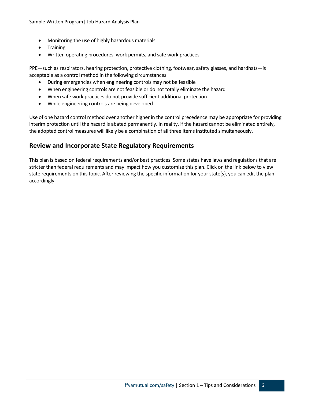- Monitoring the use of highly hazardous materials
- Training
- Written operating procedures, work permits, and safe work practices

PPE—such as respirators, hearing protection, protective clothing, footwear, safety glasses, and hardhats—is acceptable as a control method in the following circumstances:

- During emergencies when engineering controls may not be feasible
- When engineering controls are not feasible or do not totally eliminate the hazard
- When safe work practices do not provide sufficient additional protection
- While engineering controls are being developed

Use of one hazard control method over another higher in the control precedence may be appropriate for providing interim protection until the hazard is abated permanently. In reality, if the hazard cannot be eliminated entirely, the adopted control measures will likely be a combination of all three items instituted simultaneously.

### <span id="page-5-0"></span>**Review and Incorporate State Regulatory Requirements**

This plan is based on federal requirements and/or best practices. Some states have laws and regulations that are stricter than federal requirements and may impact how you customize this plan. Click on the link below to view state requirements on this topic. After reviewing the specific information for your state(s), you can edit the plan accordingly.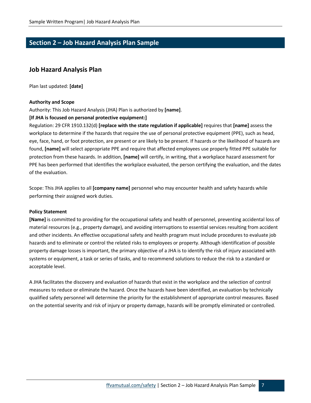# <span id="page-6-0"></span>**Section 2 – Job Hazard Analysis Plan Sample**

### <span id="page-6-1"></span>**Job Hazard Analysis Plan**

Plan last updated: **[date]**

#### **Authority and Scope**

Authority: This Job Hazard Analysis (JHA) Plan is authorized by **[name]**.

#### **[If JHA is focused on personal protective equipment:]**

Regulation: 29 CFR 1910.132(d) **[replace with the state regulation if applicable]** requires that **[name]** assess the workplace to determine if the hazards that require the use of personal protective equipment (PPE), such as head, eye, face, hand, or foot protection, are present or are likely to be present. If hazards or the likelihood of hazards are found, **[name]** will select appropriate PPE and require that affected employees use properly fitted PPE suitable for protection from these hazards. In addition, **[name]** will certify, in writing, that a workplace hazard assessment for PPE has been performed that identifies the workplace evaluated, the person certifying the evaluation, and the dates of the evaluation.

Scope: This JHA applies to all **[company name]** personnel who may encounter health and safety hazards while performing their assigned work duties.

#### **Policy Statement**

**[Name]** is committed to providing for the occupational safety and health of personnel, preventing accidental loss of material resources (e.g., property damage), and avoiding interruptions to essential services resulting from accident and other incidents. An effective occupational safety and health program must include procedures to evaluate job hazards and to eliminate or control the related risks to employees or property. Although identification of possible property damage losses is important, the primary objective of a JHA is to identify the risk of injury associated with systems or equipment, a task or series of tasks, and to recommend solutions to reduce the risk to a standard or acceptable level.

A JHA facilitates the discovery and evaluation of hazards that exist in the workplace and the selection of control measures to reduce or eliminate the hazard. Once the hazards have been identified, an evaluation by technically qualified safety personnel will determine the priority for the establishment of appropriate control measures. Based on the potential severity and risk of injury or property damage, hazards will be promptly eliminated or controlled.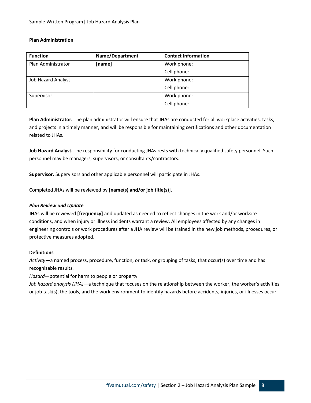#### **Plan Administration**

| <b>Function</b>           | <b>Name/Department</b> | <b>Contact Information</b> |
|---------------------------|------------------------|----------------------------|
| Plan Administrator        | Work phone:<br>[name]  |                            |
|                           |                        | Cell phone:                |
| <b>Job Hazard Analyst</b> |                        | Work phone:                |
|                           |                        | Cell phone:                |
| Supervisor                |                        | Work phone:                |
|                           |                        | Cell phone:                |

**Plan Administrator.** The plan administrator will ensure that JHAs are conducted for all workplace activities, tasks, and projects in a timely manner, and will be responsible for maintaining certifications and other documentation related to JHAs.

**Job Hazard Analyst.** The responsibility for conducting JHAs rests with technically qualified safety personnel. Such personnel may be managers, supervisors, or consultants/contractors.

**Supervisor.** Supervisors and other applicable personnel will participate in JHAs.

Completed JHAs will be reviewed by **[name(s) and/or job title(s)]**.

#### *Plan Review and Update*

JHAs will be reviewed **[frequency]** and updated as needed to reflect changes in the work and/or worksite conditions, and when injury or illness incidents warrant a review. All employees affected by any changes in engineering controls or work procedures after a JHA review will be trained in the new job methods, procedures, or protective measures adopted.

#### **Definitions**

*Activity*—a named process, procedure, function, or task, or grouping of tasks, that occur(s) over time and has recognizable results.

*Hazard*—potential for harm to people or property.

*Job hazard analysis (JHA)*—a technique that focuses on the relationship between the worker, the worker's activities or job task(s), the tools, and the work environment to identify hazards before accidents, injuries, or illnesses occur.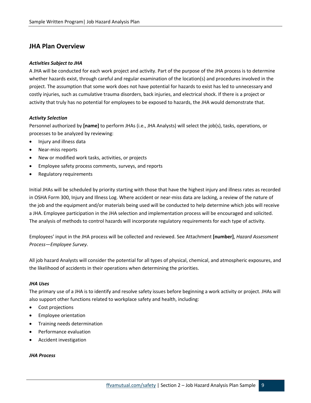### <span id="page-8-0"></span>**JHA Plan Overview**

#### *Activities Subject to JHA*

A JHA will be conducted for each work project and activity. Part of the purpose of the JHA process is to determine whether hazards exist, through careful and regular examination of the location(s) and procedures involved in the project. The assumption that some work does not have potential for hazards to exist has led to unnecessary and costly injuries, such as cumulative trauma disorders, back injuries, and electrical shock. If there is a project or activity that truly has no potential for employees to be exposed to hazards, the JHA would demonstrate that.

#### *Activity Selection*

Personnel authorized by **[name]** to perform JHAs (i.e., JHA Analysts) will select the job(s), tasks, operations, or processes to be analyzed by reviewing:

- Injury and illness data
- Near-miss reports
- New or modified work tasks, activities, or projects
- Employee safety process comments, surveys, and reports
- Regulatory requirements

Initial JHAs will be scheduled by priority starting with those that have the highest injury and illness rates as recorded in OSHA Form 300, Injury and Illness Log. Where accident or near-miss data are lacking, a review of the nature of the job and the equipment and/or materials being used will be conducted to help determine which jobs will receive a JHA. Employee participation in the JHA selection and implementation process will be encouraged and solicited. The analysis of methods to control hazards will incorporate regulatory requirements for each type of activity.

Employees' input in the JHA process will be collected and reviewed. See Attachment **[number]**, *Hazard Assessment Process—Employee Survey*.

All job hazard Analysts will consider the potential for all types of physical, chemical, and atmospheric exposures, and the likelihood of accidents in their operations when determining the priorities.

#### *JHA Uses*

The primary use of a JHA is to identify and resolve safety issues before beginning a work activity or project. JHAs will also support other functions related to workplace safety and health, including:

- Cost projections
- Employee orientation
- Training needs determination
- Performance evaluation
- Accident investigation

#### *JHA Process*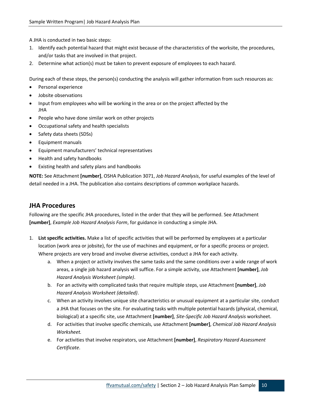A JHA is conducted in two basic steps:

- 1. Identify each potential hazard that might exist because of the characteristics of the worksite, the procedures, and/or tasks that are involved in that project.
- 2. Determine what action(s) must be taken to prevent exposure of employees to each hazard.

During each of these steps, the person(s) conducting the analysis will gather information from such resources as:

- Personal experience
- Jobsite observations
- Input from employees who will be working in the area or on the project affected by the JHA
- People who have done similar work on other projects
- Occupational safety and health specialists
- Safety data sheets (SDSs)
- Equipment manuals
- Equipment manufacturers' technical representatives
- Health and safety handbooks
- Existing health and safety plans and handbooks

**NOTE:** See Attachment **[number]**, OSHA Publication 3071, *Job Hazard Analysis*, for useful examples of the level of detail needed in a JHA. The publication also contains descriptions of common workplace hazards.

### <span id="page-9-0"></span>**JHA Procedures**

Following are the specific JHA procedures, listed in the order that they will be performed. See Attachment **[number]**, *Example Job Hazard Analysis Form*, for guidance in conducting a simple JHA.

- 1. **List specific activities.** Make a list of specific activities that will be performed by employees at a particular location (work area or jobsite), for the use of machines and equipment, or for a specific process or project. Where projects are very broad and involve diverse activities, conduct a JHA for each activity.
	- a. When a project or activity involves the same tasks and the same conditions over a wide range of work areas, a single job hazard analysis will suffice. For a simple activity, use Attachment **[number]**, *Job Hazard Analysis Worksheet (simple)*.
	- b. For an activity with complicated tasks that require multiple steps, use Attachment **[number]**, *Job Hazard Analysis Worksheet (detailed)*.
	- c. When an activity involves unique site characteristics or unusual equipment at a particular site, conduct a JHA that focuses on the site. For evaluating tasks with multiple potential hazards (physical, chemical, biological) at a specific site, use Attachment **[number]**, *Site-Specific Job Hazard Analysis* worksheet.
	- d. For activities that involve specific chemicals, use Attachment **[number]**, *Chemical Job Hazard Analysis Worksheet.*
	- e. For activities that involve respirators, use Attachment **[number]**, *Respiratory Hazard Assessment Certificate*.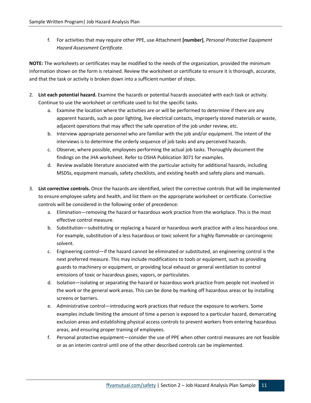f. For activities that may require other PPE, use Attachment **[number]**, *Personal Protective Equipment Hazard Assessment Certificate.*

**NOTE:** The worksheets or certificates may be modified to the needs of the organization, provided the minimum information shown on the form is retained. Review the worksheet or certificate to ensure it is thorough, accurate, and that the task or activity is broken down into a sufficient number of steps.

- 2. **List each potential hazard.** Examine the hazards or potential hazards associated with each task or activity. Continue to use the worksheet or certificate used to list the specific tasks.
	- a. Examine the location where the activities are or will be performed to determine if there are any apparent hazards, such as poor lighting, live electrical contacts, improperly stored materials or waste, adjacent operations that may affect the safe operation of the job under review, etc.
	- b. Interview appropriate personnel who are familiar with the job and/or equipment. The intent of the interviews is to determine the orderly sequence of job tasks and any perceived hazards.
	- c. Observe, where possible, employees performing the actual job tasks. Thoroughly document the findings on the JHA worksheet. Refer to OSHA Publication 3071 for examples.
	- d. Review available literature associated with the particular activity for additional hazards, including MSDSs, equipment manuals, safety checklists, and existing health and safety plans and manuals.
- 3. **List corrective controls.** Once the hazards are identified, select the corrective controls that will be implemented to ensure employee safety and health, and list them on the appropriate worksheet or certificate. Corrective controls will be considered in the following order of precedence:
	- a. Elimination—removing the hazard or hazardous work practice from the workplace. This is the most effective control measure.
	- b. Substitution—substituting or replacing a hazard or hazardous work practice with a less hazardous one. For example, substitution of a less hazardous or toxic solvent for a highly flammable or carcinogenic solvent.
	- c. Engineering control—if the hazard cannot be eliminated or substituted, an engineering control is the next preferred measure. This may include modifications to tools or equipment, such as providing guards to machinery or equipment, or providing local exhaust or general ventilation to control emissions of toxic or hazardous gases, vapors, or particulates.
	- d. Isolation—isolating or separating the hazard or hazardous work practice from people not involved in the work or the general work areas. This can be done by marking off hazardous areas or by installing screens or barriers.
	- e. Administrative control—introducing work practices that reduce the exposure to workers. Some examples include limiting the amount of time a person is exposed to a particular hazard, demarcating exclusion areas and establishing physical access controls to prevent workers from entering hazardous areas, and ensuring proper training of employees.
	- f. Personal protective equipment—consider the use of PPE when other control measures are not feasible or as an interim control until one of the other described controls can be implemented.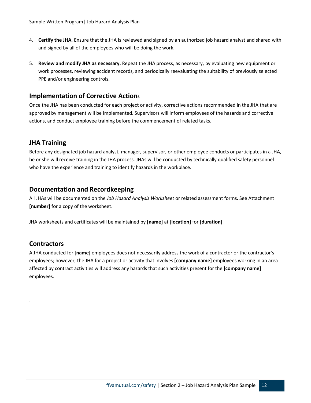- 4. **Certify the JHA.** Ensure that the JHA is reviewed and signed by an authorized job hazard analyst and shared with and signed by all of the employees who will be doing the work.
- 5. **Review and modify JHA as necessary.** Repeat the JHA process, as necessary, by evaluating new equipment or work processes, reviewing accident records, and periodically reevaluating the suitability of previously selected PPE and/or engineering controls.

### <span id="page-11-0"></span>**Implementation of Corrective Actions**

Once the JHA has been conducted for each project or activity, corrective actions recommended in the JHA that are approved by management will be implemented. Supervisors will inform employees of the hazards and corrective actions, and conduct employee training before the commencement of related tasks.

### <span id="page-11-1"></span>**JHA Training**

Before any designated job hazard analyst, manager, supervisor, or other employee conducts or participates in a JHA, he or she will receive training in the JHA process. JHAs will be conducted by technically qualified safety personnel who have the experience and training to identify hazards in the workplace.

### <span id="page-11-2"></span>**Documentation and Recordkeeping**

All JHAs will be documented on the *Job Hazard Analysis Worksheet* or related assessment forms. See Attachment **[number]** for a copy of the worksheet.

JHA worksheets and certificates will be maintained by **[name]** at **[location]** for **[duration]**.

### <span id="page-11-3"></span>**Contractors**

.

A JHA conducted for **[name]** employees does not necessarily address the work of a contractor or the contractor's employees; however, the JHA for a project or activity that involves **[company name]** employees working in an area affected by contract activities will address any hazards that such activities present for the **[company name]** employees.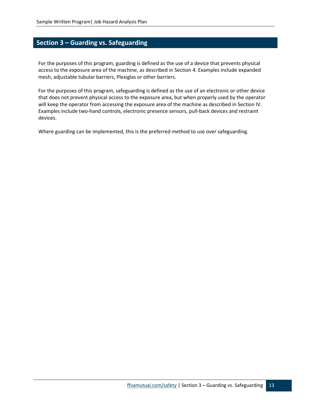# <span id="page-12-0"></span>**Section 3 – Guarding vs. Safeguarding**

For the purposes of this program, guarding is defined as the use of a device that prevents physical access to the exposure area of the machine, as described in Section 4. Examples include expanded mesh, adjustable tubular barriers, Plexiglas or other barriers.

For the purposes of this program, safeguarding is defined as the use of an electronic or other device that does not prevent physical access to the exposure area, but when properly used by the operator will keep the operator from accessing the exposure area of the machine as described in Section IV. Examples include two-hand controls, electronic presence sensors, pull-back devices and restraint devices.

Where guarding can be implemented, this is the preferred method to use over safeguarding.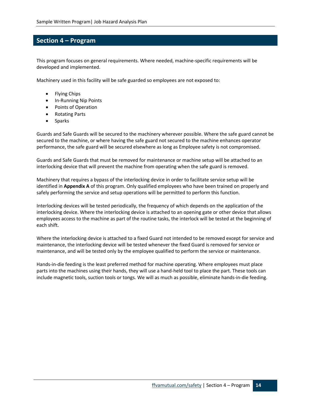# <span id="page-13-0"></span>**Section 4 – Program**

This program focuses on general requirements. Where needed, machine-specific requirements will be developed and implemented.

Machinery used in this facility will be safe guarded so employees are not exposed to:

- Flying Chips
- In-Running Nip Points
- Points of Operation
- Rotating Parts
- **Sparks**

Guards and Safe Guards will be secured to the machinery wherever possible. Where the safe guard cannot be secured to the machine, or where having the safe guard not secured to the machine enhances operator performance, the safe guard will be secured elsewhere as long as Employee safety is not compromised.

Guards and Safe Guards that must be removed for maintenance or machine setup will be attached to an interlocking device that will prevent the machine from operating when the safe guard is removed.

Machinery that requires a bypass of the interlocking device in order to facilitate service setup will be identified in **Appendix A** of this program. Only qualified employees who have been trained on properly and safely performing the service and setup operations will be permitted to perform this function.

Interlocking devices will be tested periodically, the frequency of which depends on the application of the interlocking device. Where the interlocking device is attached to an opening gate or other device that allows employees access to the machine as part of the routine tasks, the interlock will be tested at the beginning of each shift.

Where the interlocking device is attached to a fixed Guard not intended to be removed except for service and maintenance, the interlocking device will be tested whenever the fixed Guard is removed for service or maintenance, and will be tested only by the employee qualified to perform the service or maintenance.

Hands-in-die feeding is the least preferred method for machine operating. Where employees must place parts into the machines using their hands, they will use a hand-held tool to place the part. These tools can include magnetic tools, suction tools or tongs. We will as much as possible, eliminate hands-in-die feeding.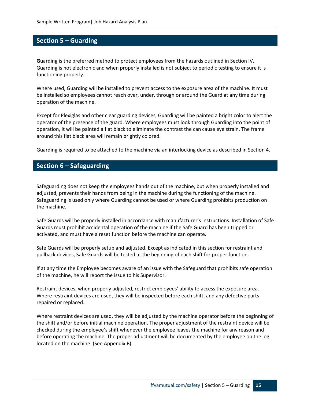# <span id="page-14-0"></span>**Section 5 – Guarding**

**G**uarding is the preferred method to protect employees from the hazards outlined in Section IV. Guarding is not electronic and when properly installed is not subject to periodic testing to ensure it is functioning properly.

Where used, Guarding will be installed to prevent access to the exposure area of the machine. It must be installed so employees cannot reach over, under, through or around the Guard at any time during operation of the machine.

Except for Plexiglas and other clear guarding devices, Guarding will be painted a bright color to alert the operator of the presence of the guard. Where employees must look through Guarding into the point of operation, it will be painted a flat black to eliminate the contrast the can cause eye strain. The frame around this flat black area will remain brightly colored.

Guarding is required to be attached to the machine via an interlocking device as described in Section 4.

### <span id="page-14-1"></span>**Section 6 – Safeguarding**

Safeguarding does not keep the employees hands out of the machine, but when properly installed and adjusted, prevents their hands from being in the machine during the functioning of the machine. Safeguarding is used only where Guarding cannot be used or where Guarding prohibits production on the machine.

Safe Guards will be properly installed in accordance with manufacturer's instructions. Installation of Safe Guards must prohibit accidental operation of the machine if the Safe Guard has been tripped or activated, and must have a reset function before the machine can operate.

Safe Guards will be properly setup and adjusted. Except as indicated in this section for restraint and pullback devices, Safe Guards will be tested at the beginning of each shift for proper function.

If at any time the Employee becomes aware of an issue with the Safeguard that prohibits safe operation of the machine, he will report the issue to his Supervisor.

Restraint devices, when properly adjusted, restrict employees' ability to access the exposure area. Where restraint devices are used, they will be inspected before each shift, and any defective parts repaired or replaced.

Where restraint devices are used, they will be adjusted by the machine operator before the beginning of the shift and/or before initial machine operation. The proper adjustment of the restraint device will be checked during the employee's shift whenever the employee leaves the machine for any reason and before operating the machine. The proper adjustment will be documented by the employee on the log located on the machine. (See Appendix B)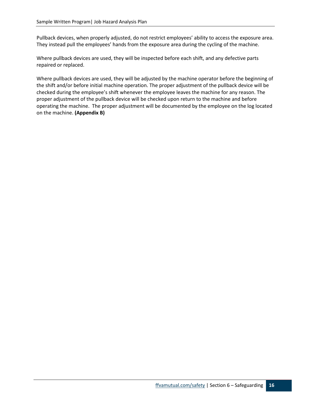Pullback devices, when properly adjusted, do not restrict employees' ability to access the exposure area. They instead pull the employees' hands from the exposure area during the cycling of the machine.

Where pullback devices are used, they will be inspected before each shift, and any defective parts repaired or replaced.

Where pullback devices are used, they will be adjusted by the machine operator before the beginning of the shift and/or before initial machine operation. The proper adjustment of the pullback device will be checked during the employee's shift whenever the employee leaves the machine for any reason. The proper adjustment of the pullback device will be checked upon return to the machine and before operating the machine. The proper adjustment will be documented by the employee on the log located on the machine. **(Appendix B)**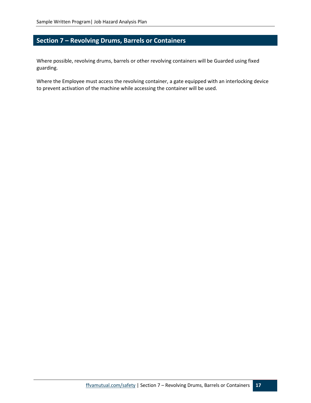# <span id="page-16-0"></span>**Section 7 – Revolving Drums, Barrels or Containers**

Where possible, revolving drums, barrels or other revolving containers will be Guarded using fixed guarding.

Where the Employee must access the revolving container, a gate equipped with an interlocking device to prevent activation of the machine while accessing the container will be used.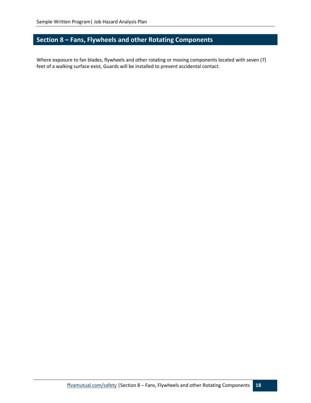# <span id="page-17-0"></span>**Section 8 – Fans, Flywheels and other Rotating Components**

Where exposure to fan blades, flywheels and other rotating or moving components located with seven (7) feet of a walking surface exist, Guards will be installed to prevent accidental contact.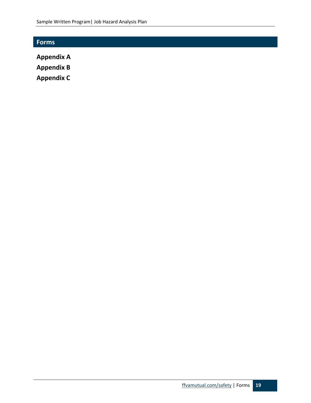# <span id="page-18-0"></span>**Forms**

**Appendix A**

**Appendix B**

**Appendix C**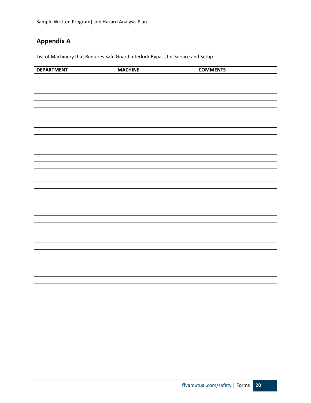# <span id="page-19-0"></span>**Appendix A**

List of Machinery that Requires Safe Guard Interlock Bypass for Service and Setup

| <b>DEPARTMENT</b> | <b>MACHINE</b> | <b>COMMENTS</b> |
|-------------------|----------------|-----------------|
|                   |                |                 |
|                   |                |                 |
|                   |                |                 |
|                   |                |                 |
|                   |                |                 |
|                   |                |                 |
|                   |                |                 |
|                   |                |                 |
|                   |                |                 |
|                   |                |                 |
|                   |                |                 |
|                   |                |                 |
|                   |                |                 |
|                   |                |                 |
|                   |                |                 |
|                   |                |                 |
|                   |                |                 |
|                   |                |                 |
|                   |                |                 |
|                   |                |                 |
|                   |                |                 |
|                   |                |                 |
|                   |                |                 |
|                   |                |                 |
|                   |                |                 |
|                   |                |                 |
|                   |                |                 |
|                   |                |                 |
|                   |                |                 |
|                   |                |                 |
|                   |                |                 |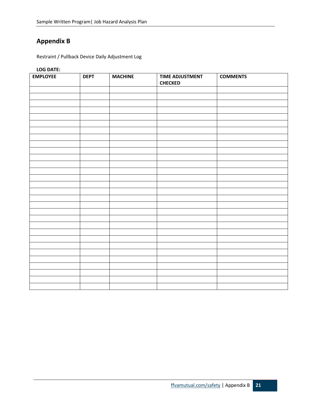# <span id="page-20-0"></span>**Appendix B**

Restraint / Pullback Device Daily Adjustment Log

**LOG DATE:** 

| <b>EMPLOYEE</b> | <b>DEPT</b> | <b>MACHINE</b> | <b>TIME ADJUSTMENT</b><br><b>CHECKED</b> | <b>COMMENTS</b> |
|-----------------|-------------|----------------|------------------------------------------|-----------------|
|                 |             |                |                                          |                 |
|                 |             |                |                                          |                 |
|                 |             |                |                                          |                 |
|                 |             |                |                                          |                 |
|                 |             |                |                                          |                 |
|                 |             |                |                                          |                 |
|                 |             |                |                                          |                 |
|                 |             |                |                                          |                 |
|                 |             |                |                                          |                 |
|                 |             |                |                                          |                 |
|                 |             |                |                                          |                 |
|                 |             |                |                                          |                 |
|                 |             |                |                                          |                 |
|                 |             |                |                                          |                 |
|                 |             |                |                                          |                 |
|                 |             |                |                                          |                 |
|                 |             |                |                                          |                 |
|                 |             |                |                                          |                 |
|                 |             |                |                                          |                 |
|                 |             |                |                                          |                 |
|                 |             |                |                                          |                 |
|                 |             |                |                                          |                 |
|                 |             |                |                                          |                 |
|                 |             |                |                                          |                 |
|                 |             |                |                                          |                 |
|                 |             |                |                                          |                 |
|                 |             |                |                                          |                 |
|                 |             |                |                                          |                 |
|                 |             |                |                                          |                 |
|                 |             |                |                                          |                 |